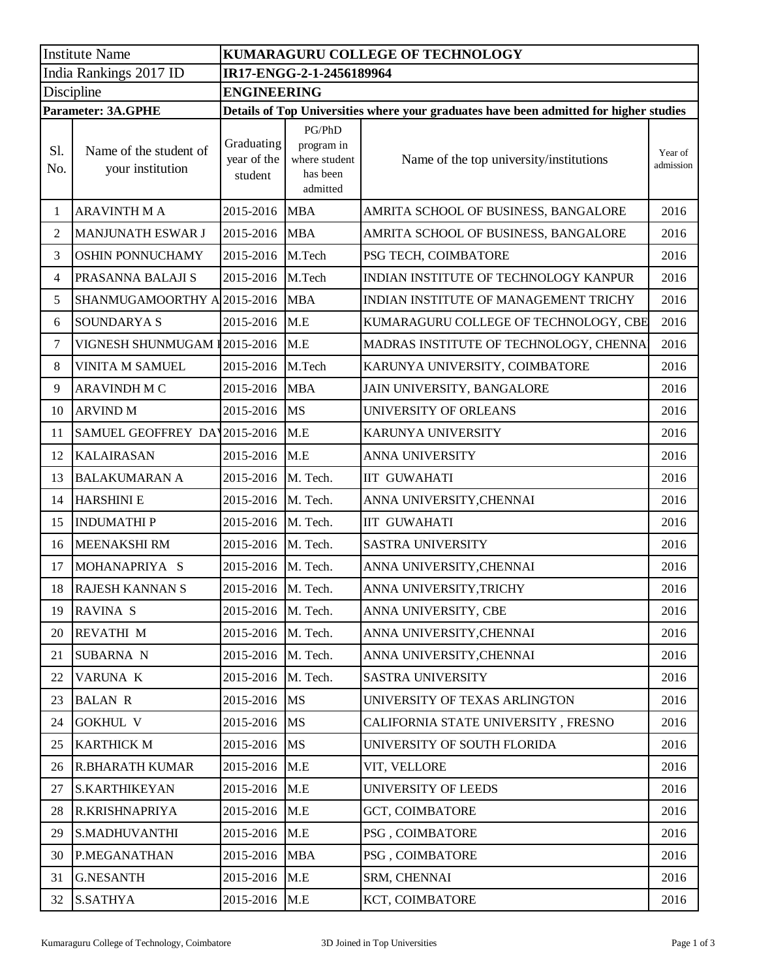| <b>Institute Name</b>     |                                            | KUMARAGURU COLLEGE OF TECHNOLOGY                                                       |                                                               |                                         |                      |  |  |  |
|---------------------------|--------------------------------------------|----------------------------------------------------------------------------------------|---------------------------------------------------------------|-----------------------------------------|----------------------|--|--|--|
| India Rankings 2017 ID    |                                            | IR17-ENGG-2-1-2456189964                                                               |                                                               |                                         |                      |  |  |  |
| Discipline                |                                            | <b>ENGINEERING</b>                                                                     |                                                               |                                         |                      |  |  |  |
| <b>Parameter: 3A.GPHE</b> |                                            | Details of Top Universities where your graduates have been admitted for higher studies |                                                               |                                         |                      |  |  |  |
| S1.<br>No.                | Name of the student of<br>your institution | Graduating<br>year of the<br>student                                                   | PG/PhD<br>program in<br>where student<br>has been<br>admitted | Name of the top university/institutions | Year of<br>admission |  |  |  |
| 1                         | <b>ARAVINTH M A</b>                        | 2015-2016                                                                              | <b>MBA</b>                                                    | AMRITA SCHOOL OF BUSINESS, BANGALORE    | 2016                 |  |  |  |
| $\overline{c}$            | <b>MANJUNATH ESWAR J</b>                   | 2015-2016                                                                              | <b>MBA</b>                                                    | AMRITA SCHOOL OF BUSINESS, BANGALORE    | 2016                 |  |  |  |
| 3                         | OSHIN PONNUCHAMY                           | 2015-2016                                                                              | M.Tech                                                        | PSG TECH, COIMBATORE                    | 2016                 |  |  |  |
| 4                         | PRASANNA BALAJI S                          | 2015-2016                                                                              | M.Tech                                                        | INDIAN INSTITUTE OF TECHNOLOGY KANPUR   | 2016                 |  |  |  |
| 5                         | SHANMUGAMOORTHY A                          | 2015-2016                                                                              | <b>MBA</b>                                                    | INDIAN INSTITUTE OF MANAGEMENT TRICHY   | 2016                 |  |  |  |
| 6                         | <b>SOUNDARYA S</b>                         | 2015-2016                                                                              | M.E                                                           | KUMARAGURU COLLEGE OF TECHNOLOGY, CBE   | 2016                 |  |  |  |
| 7                         | VIGNESH SHUNMUGAM I2015-2016               |                                                                                        | M.E                                                           | MADRAS INSTITUTE OF TECHNOLOGY, CHENNA  | 2016                 |  |  |  |
| 8                         | VINITA M SAMUEL                            | 2015-2016                                                                              | M.Tech                                                        | KARUNYA UNIVERSITY, COIMBATORE          | 2016                 |  |  |  |
| 9                         | <b>ARAVINDH M C</b>                        | 2015-2016                                                                              | <b>MBA</b>                                                    | JAIN UNIVERSITY, BANGALORE              | 2016                 |  |  |  |
| 10                        | <b>ARVIND M</b>                            | 2015-2016                                                                              | <b>MS</b>                                                     | UNIVERSITY OF ORLEANS                   | 2016                 |  |  |  |
| 11                        | SAMUEL GEOFFREY DAY                        | 2015-2016                                                                              | M.E                                                           | KARUNYA UNIVERSITY                      | 2016                 |  |  |  |
| 12                        | <b>KALAIRASAN</b>                          | 2015-2016                                                                              | M.E                                                           | ANNA UNIVERSITY                         | 2016                 |  |  |  |
| 13                        | <b>BALAKUMARAN A</b>                       | 2015-2016                                                                              | M. Tech.                                                      | <b>IIT GUWAHATI</b>                     | 2016                 |  |  |  |
| 14                        | <b>HARSHINI E</b>                          | 2015-2016                                                                              | M. Tech.                                                      | ANNA UNIVERSITY, CHENNAI                | 2016                 |  |  |  |
| 15                        | <b>INDUMATHIP</b>                          | 2015-2016                                                                              | M. Tech.                                                      | <b>IIT GUWAHATI</b>                     | 2016                 |  |  |  |
| 16                        | <b>MEENAKSHI RM</b>                        | 2015-2016                                                                              | M. Tech.                                                      | <b>SASTRA UNIVERSITY</b>                | 2016                 |  |  |  |
| 17                        | MOHANAPRIYA S                              | 2015-2016                                                                              | M. Tech.                                                      | ANNA UNIVERSITY, CHENNAI                | 2016                 |  |  |  |
| 18                        | <b>RAJESH KANNAN S</b>                     | 2015-2016                                                                              | M. Tech.                                                      | ANNA UNIVERSITY, TRICHY                 | 2016                 |  |  |  |
| 19                        | RAVINA S                                   | 2015-2016                                                                              | M. Tech.                                                      | ANNA UNIVERSITY, CBE                    | 2016                 |  |  |  |
| 20                        | <b>REVATHI M</b>                           | 2015-2016                                                                              | M. Tech.                                                      | ANNA UNIVERSITY, CHENNAI                | 2016                 |  |  |  |
| 21                        | <b>SUBARNA N</b>                           | 2015-2016                                                                              | M. Tech.                                                      | ANNA UNIVERSITY, CHENNAI                | 2016                 |  |  |  |
| 22                        | VARUNA K                                   | 2015-2016                                                                              | M. Tech.                                                      | SASTRA UNIVERSITY                       | 2016                 |  |  |  |
| 23                        | <b>BALAN R</b>                             | 2015-2016                                                                              | <b>MS</b>                                                     | UNIVERSITY OF TEXAS ARLINGTON           | 2016                 |  |  |  |
| 24                        | <b>GOKHUL V</b>                            | 2015-2016                                                                              | <b>MS</b>                                                     | CALIFORNIA STATE UNIVERSITY, FRESNO     | 2016                 |  |  |  |
| 25                        | <b>KARTHICK M</b>                          | 2015-2016                                                                              | <b>MS</b>                                                     | UNIVERSITY OF SOUTH FLORIDA             | 2016                 |  |  |  |
| 26                        | <b>R.BHARATH KUMAR</b>                     | 2015-2016                                                                              | M.E                                                           | VIT, VELLORE                            | 2016                 |  |  |  |
| 27                        | S.KARTHIKEYAN                              | 2015-2016                                                                              | M.E                                                           | UNIVERSITY OF LEEDS                     | 2016                 |  |  |  |
| 28                        | R.KRISHNAPRIYA                             | 2015-2016                                                                              | M.E                                                           | <b>GCT, COIMBATORE</b>                  | 2016                 |  |  |  |
| 29                        | S.MADHUVANTHI                              | 2015-2016                                                                              | M.E                                                           | PSG, COIMBATORE                         | 2016                 |  |  |  |
| 30                        | P.MEGANATHAN                               | 2015-2016                                                                              | <b>MBA</b>                                                    | PSG, COIMBATORE                         | 2016                 |  |  |  |
| 31                        | <b>G.NESANTH</b>                           | 2015-2016                                                                              | M.E                                                           | SRM, CHENNAI                            | 2016                 |  |  |  |
| 32                        | <b>S.SATHYA</b>                            | 2015-2016                                                                              | M.E                                                           | KCT, COIMBATORE                         | 2016                 |  |  |  |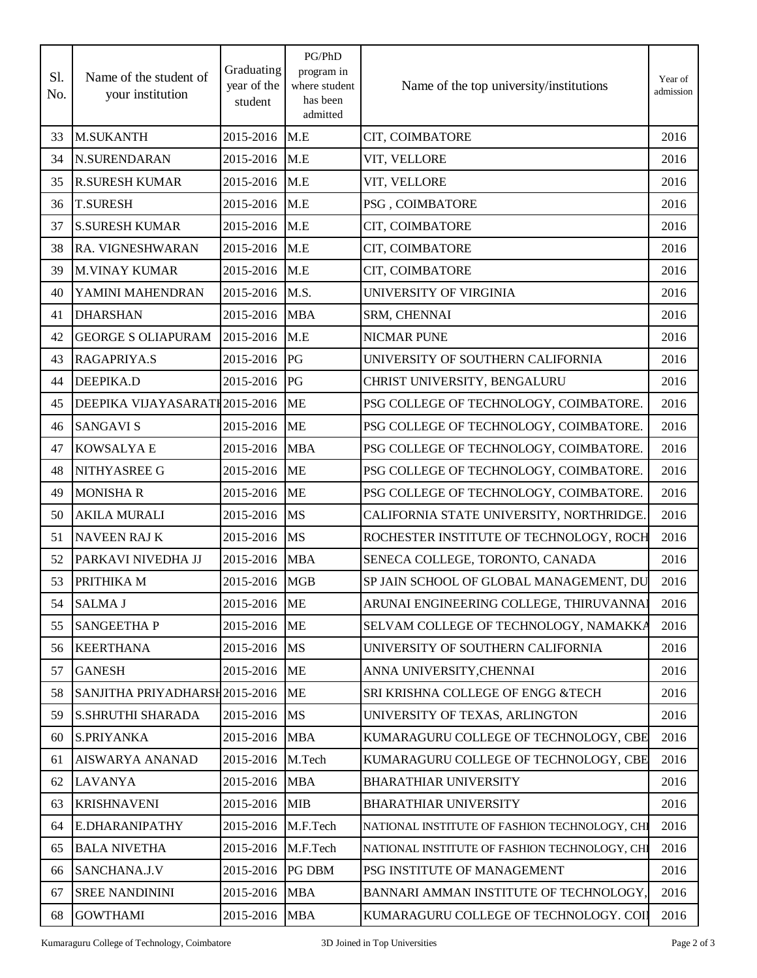| S1.<br>No. | Name of the student of<br>your institution | Graduating<br>year of the<br>student | PG/PhD<br>program in<br>where student<br>has been<br>admitted | Name of the top university/institutions       | Year of<br>admission |
|------------|--------------------------------------------|--------------------------------------|---------------------------------------------------------------|-----------------------------------------------|----------------------|
| 33         | <b>M.SUKANTH</b>                           | 2015-2016                            | M.E                                                           | CIT, COIMBATORE                               | 2016                 |
| 34         | N.SURENDARAN                               | 2015-2016                            | M.E                                                           | VIT, VELLORE                                  | 2016                 |
| 35         | <b>R.SURESH KUMAR</b>                      | 2015-2016                            | M.E                                                           | VIT, VELLORE                                  | 2016                 |
| 36         | <b>T.SURESH</b>                            | 2015-2016                            | M.E                                                           | PSG, COIMBATORE                               | 2016                 |
| 37         | <b>S.SURESH KUMAR</b>                      | 2015-2016                            | M.E                                                           | CIT, COIMBATORE                               | 2016                 |
| 38         | RA. VIGNESHWARAN                           | 2015-2016                            | M.E                                                           | CIT, COIMBATORE                               | 2016                 |
| 39         | <b>M.VINAY KUMAR</b>                       | 2015-2016                            | M.E                                                           | CIT, COIMBATORE                               | 2016                 |
| 40         | YAMINI MAHENDRAN                           | 2015-2016                            | M.S.                                                          | UNIVERSITY OF VIRGINIA                        | 2016                 |
| 41         | <b>DHARSHAN</b>                            | 2015-2016                            | <b>MBA</b>                                                    | SRM, CHENNAI                                  | 2016                 |
| 42         | <b>GEORGE S OLIAPURAM</b>                  | 2015-2016                            | M.E                                                           | <b>NICMAR PUNE</b>                            | 2016                 |
| 43         | RAGAPRIYA.S                                | 2015-2016                            | PG                                                            | UNIVERSITY OF SOUTHERN CALIFORNIA             | 2016                 |
| 44         | <b>DEEPIKA.D</b>                           | 2015-2016                            | PG                                                            | CHRIST UNIVERSITY, BENGALURU                  | 2016                 |
| 45         | DEEPIKA VIJAYASARATI 2015-2016             |                                      | <b>ME</b>                                                     | PSG COLLEGE OF TECHNOLOGY, COIMBATORE.        | 2016                 |
| 46         | <b>SANGAVI S</b>                           | 2015-2016                            | <b>ME</b>                                                     | PSG COLLEGE OF TECHNOLOGY, COIMBATORE.        | 2016                 |
| 47         | <b>KOWSALYAE</b>                           | 2015-2016                            | <b>MBA</b>                                                    | PSG COLLEGE OF TECHNOLOGY, COIMBATORE.        | 2016                 |
| 48         | NITHYASREE G                               | 2015-2016                            | <b>ME</b>                                                     | PSG COLLEGE OF TECHNOLOGY, COIMBATORE.        | 2016                 |
| 49         | <b>MONISHA R</b>                           | 2015-2016                            | <b>ME</b>                                                     | PSG COLLEGE OF TECHNOLOGY, COIMBATORE.        | 2016                 |
| 50         | <b>AKILA MURALI</b>                        | 2015-2016                            | MS                                                            | CALIFORNIA STATE UNIVERSITY, NORTHRIDGE.      | 2016                 |
| 51         | <b>NAVEEN RAJ K</b>                        | 2015-2016                            | MS                                                            | ROCHESTER INSTITUTE OF TECHNOLOGY, ROCH       | 2016                 |
| 52         | PARKAVI NIVEDHA JJ                         | 2015-2016                            | <b>MBA</b>                                                    | SENECA COLLEGE, TORONTO, CANADA               | 2016                 |
| 53         | PRITHIKA M                                 | 2015-2016                            | <b>MGB</b>                                                    | SP JAIN SCHOOL OF GLOBAL MANAGEMENT, DU       | 2016                 |
| 54         | <b>SALMA J</b>                             | 2015-2016 ME                         |                                                               | ARUNAI ENGINEERING COLLEGE, THIRUVANNAI       | 2016                 |
| 55         | <b>SANGEETHAP</b>                          | 2015-2016                            | <b>ME</b>                                                     | SELVAM COLLEGE OF TECHNOLOGY, NAMAKKA         | 2016                 |
| 56         | <b>KEERTHANA</b>                           | 2015-2016                            | <b>MS</b>                                                     | UNIVERSITY OF SOUTHERN CALIFORNIA             | 2016                 |
| 57         | <b>GANESH</b>                              | 2015-2016                            | <b>ME</b>                                                     | ANNA UNIVERSITY, CHENNAI                      | 2016                 |
| 58         | SANJITHA PRIYADHARSH2015-2016              |                                      | ME                                                            | SRI KRISHNA COLLEGE OF ENGG & TECH            | 2016                 |
| 59         | <b>S.SHRUTHI SHARADA</b>                   | 2015-2016                            | <b>MS</b>                                                     | UNIVERSITY OF TEXAS, ARLINGTON                | 2016                 |
| 60         | S.PRIYANKA                                 | 2015-2016                            | <b>MBA</b>                                                    | KUMARAGURU COLLEGE OF TECHNOLOGY, CBE         | 2016                 |
| 61         | <b>AISWARYA ANANAD</b>                     | 2015-2016                            | M.Tech                                                        | KUMARAGURU COLLEGE OF TECHNOLOGY, CBE         | 2016                 |
| 62         | <b>LAVANYA</b>                             | 2015-2016                            | <b>MBA</b>                                                    | <b>BHARATHIAR UNIVERSITY</b>                  | 2016                 |
| 63         | <b>KRISHNAVENI</b>                         | 2015-2016                            | <b>MIB</b>                                                    | <b>BHARATHIAR UNIVERSITY</b>                  | 2016                 |
| 64         | <b>E.DHARANIPATHY</b>                      | 2015-2016                            | M.F.Tech                                                      | NATIONAL INSTITUTE OF FASHION TECHNOLOGY, CHI | 2016                 |
| 65         | <b>BALA NIVETHA</b>                        | 2015-2016                            | M.F.Tech                                                      | NATIONAL INSTITUTE OF FASHION TECHNOLOGY, CHI | 2016                 |
| 66         | SANCHANA.J.V                               | 2015-2016                            | <b>PG DBM</b>                                                 | PSG INSTITUTE OF MANAGEMENT                   | 2016                 |
| 67         | <b>SREE NANDININI</b>                      | 2015-2016                            | <b>MBA</b>                                                    | BANNARI AMMAN INSTITUTE OF TECHNOLOGY,        | 2016                 |
| 68         | <b>GOWTHAMI</b>                            | 2015-2016                            | <b>MBA</b>                                                    | KUMARAGURU COLLEGE OF TECHNOLOGY. COII        | 2016                 |